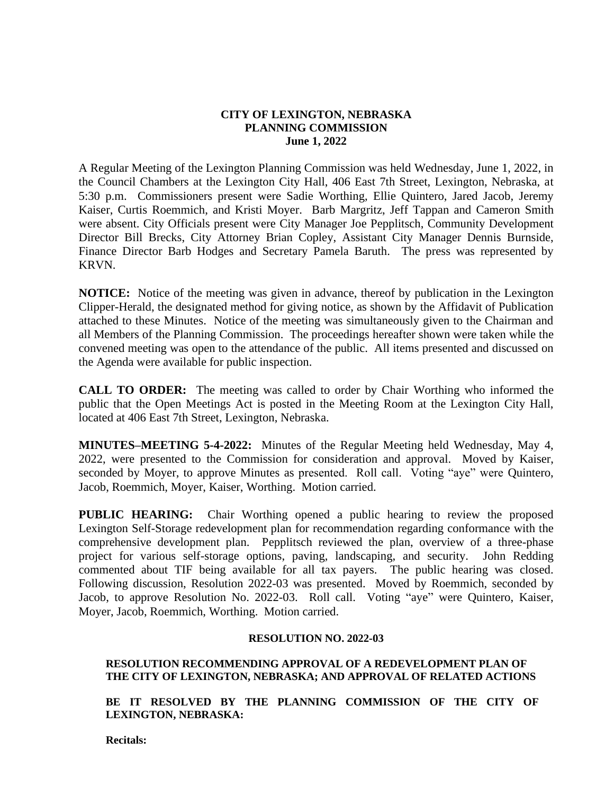# **CITY OF LEXINGTON, NEBRASKA PLANNING COMMISSION June 1, 2022**

A Regular Meeting of the Lexington Planning Commission was held Wednesday, June 1, 2022, in the Council Chambers at the Lexington City Hall, 406 East 7th Street, Lexington, Nebraska, at 5:30 p.m. Commissioners present were Sadie Worthing, Ellie Quintero, Jared Jacob, Jeremy Kaiser, Curtis Roemmich, and Kristi Moyer. Barb Margritz, Jeff Tappan and Cameron Smith were absent. City Officials present were City Manager Joe Pepplitsch, Community Development Director Bill Brecks, City Attorney Brian Copley, Assistant City Manager Dennis Burnside, Finance Director Barb Hodges and Secretary Pamela Baruth. The press was represented by KRVN.

**NOTICE:** Notice of the meeting was given in advance, thereof by publication in the Lexington Clipper-Herald, the designated method for giving notice, as shown by the Affidavit of Publication attached to these Minutes. Notice of the meeting was simultaneously given to the Chairman and all Members of the Planning Commission. The proceedings hereafter shown were taken while the convened meeting was open to the attendance of the public. All items presented and discussed on the Agenda were available for public inspection.

**CALL TO ORDER:** The meeting was called to order by Chair Worthing who informed the public that the Open Meetings Act is posted in the Meeting Room at the Lexington City Hall, located at 406 East 7th Street, Lexington, Nebraska.

**MINUTES–MEETING 5-4-2022:** Minutes of the Regular Meeting held Wednesday, May 4, 2022, were presented to the Commission for consideration and approval. Moved by Kaiser, seconded by Moyer, to approve Minutes as presented. Roll call. Voting "aye" were Quintero, Jacob, Roemmich, Moyer, Kaiser, Worthing. Motion carried.

**PUBLIC HEARING:** Chair Worthing opened a public hearing to review the proposed Lexington Self-Storage redevelopment plan for recommendation regarding conformance with the comprehensive development plan. Pepplitsch reviewed the plan, overview of a three-phase project for various self-storage options, paving, landscaping, and security. John Redding commented about TIF being available for all tax payers. The public hearing was closed. Following discussion, Resolution 2022-03 was presented. Moved by Roemmich, seconded by Jacob, to approve Resolution No. 2022-03. Roll call. Voting "aye" were Quintero, Kaiser, Moyer, Jacob, Roemmich, Worthing. Motion carried.

## **RESOLUTION NO. 2022-03**

# **RESOLUTION RECOMMENDING APPROVAL OF A REDEVELOPMENT PLAN OF THE CITY OF LEXINGTON, NEBRASKA; AND APPROVAL OF RELATED ACTIONS**

BE IT RESOLVED BY THE PLANNING COMMISSION OF THE CITY OF **LEXINGTON, NEBRASKA:**

**Recitals:**